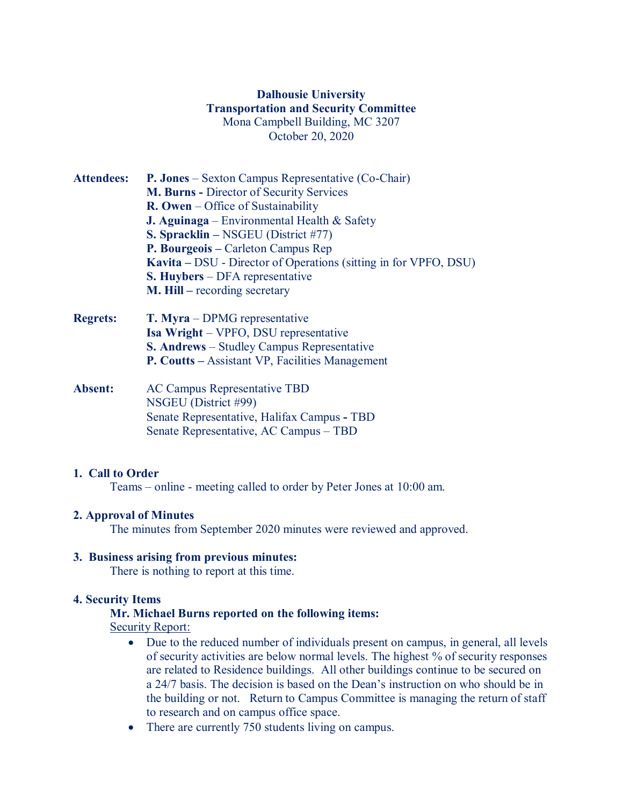# **Dalhousie University Transportation and Security Committee** Mona Campbell Building, MC 3207 October 20, 2020

- **Attendees: P. Jones** Sexton Campus Representative (Co-Chair) **M. Burns -** Director of Security Services **R. Owen** – Office of Sustainability **J. Aguinaga** – Environmental Health & Safety **S. Spracklin –** NSGEU (District #77) **P. Bourgeois –** Carleton Campus Rep **Kavita –** DSU - Director of Operations (sitting in for VPFO, DSU) **S. Huybers** – DFA representative **M. Hill –** recording secretary
- **Regrets: T. Myra** DPMG representative **Isa Wright** – VPFO, DSU representative **S. Andrews** – Studley Campus Representative **P. Coutts –** Assistant VP, Facilities Management
- **Absent:** AC Campus Representative TBD NSGEU (District #99) Senate Representative, Halifax Campus **-** TBD Senate Representative, AC Campus – TBD

## **1. Call to Order**

Teams – online - meeting called to order by Peter Jones at 10:00 am.

## **2. Approval of Minutes**

The minutes from September 2020 minutes were reviewed and approved.

#### **3. Business arising from previous minutes:**

There is nothing to report at this time.

#### **4. Security Items**

### **Mr. Michael Burns reported on the following items:**

Security Report:

- Due to the reduced number of individuals present on campus, in general, all levels of security activities are below normal levels. The highest % of security responses are related to Residence buildings. All other buildings continue to be secured on a 24/7 basis. The decision is based on the Dean's instruction on who should be in the building or not. Return to Campus Committee is managing the return of staff to research and on campus office space.
- There are currently 750 students living on campus.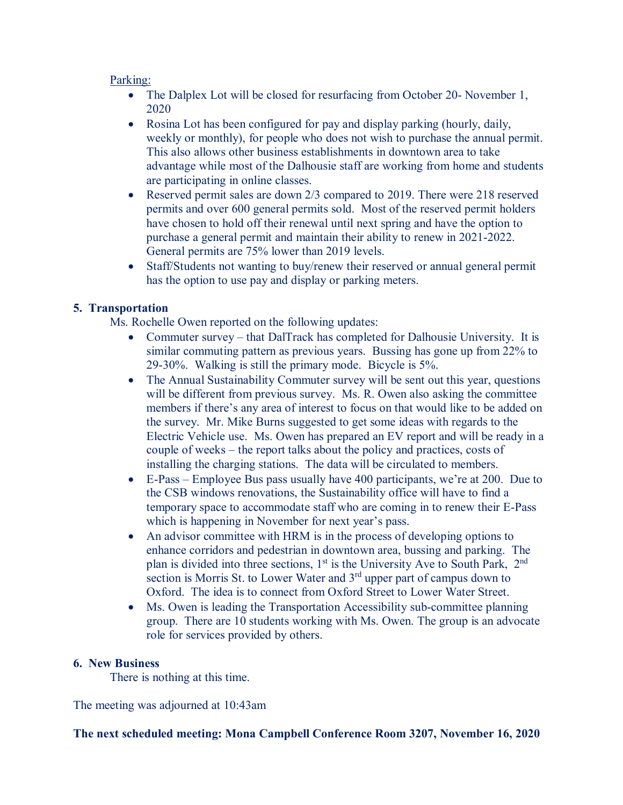#### Parking:

- The Dalplex Lot will be closed for resurfacing from October 20- November 1, 2020
- Rosina Lot has been configured for pay and display parking (hourly, daily, weekly or monthly), for people who does not wish to purchase the annual permit. This also allows other business establishments in downtown area to take advantage while most of the Dalhousie staff are working from home and students are participating in online classes.
- Reserved permit sales are down 2/3 compared to 2019. There were 218 reserved permits and over 600 general permits sold. Most of the reserved permit holders have chosen to hold off their renewal until next spring and have the option to purchase a general permit and maintain their ability to renew in 2021-2022. General permits are 75% lower than 2019 levels.
- Staff/Students not wanting to buy/renew their reserved or annual general permit has the option to use pay and display or parking meters.

### **5. Transportation**

Ms. Rochelle Owen reported on the following updates:

- Commuter survey that DalTrack has completed for Dalhousie University. It is similar commuting pattern as previous years. Bussing has gone up from 22% to 29-30%. Walking is still the primary mode. Bicycle is 5%.
- The Annual Sustainability Commuter survey will be sent out this year, questions will be different from previous survey. Ms. R. Owen also asking the committee members if there's any area of interest to focus on that would like to be added on the survey. Mr. Mike Burns suggested to get some ideas with regards to the Electric Vehicle use. Ms. Owen has prepared an EV report and will be ready in a couple of weeks – the report talks about the policy and practices, costs of installing the charging stations. The data will be circulated to members.
- E-Pass Employee Bus pass usually have 400 participants, we're at 200. Due to the CSB windows renovations, the Sustainability office will have to find a temporary space to accommodate staff who are coming in to renew their E-Pass which is happening in November for next year's pass.
- An advisor committee with HRM is in the process of developing options to enhance corridors and pedestrian in downtown area, bussing and parking. The plan is divided into three sections,  $1<sup>st</sup>$  is the University Ave to South Park,  $2<sup>nd</sup>$ section is Morris St. to Lower Water and 3<sup>rd</sup> upper part of campus down to Oxford. The idea is to connect from Oxford Street to Lower Water Street.
- Ms. Owen is leading the Transportation Accessibility sub-committee planning group. There are 10 students working with Ms. Owen. The group is an advocate role for services provided by others.

#### **6. New Business**

There is nothing at this time.

The meeting was adjourned at 10:43am

**The next scheduled meeting: Mona Campbell Conference Room 3207, November 16, 2020**